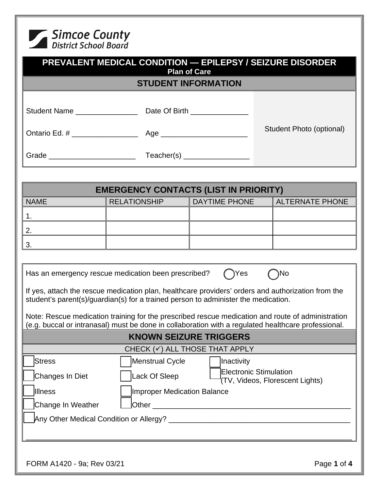

| <b>PREVALENT MEDICAL CONDITION - EPILEPSY / SEIZURE DISORDER</b><br><b>Plan of Care</b> |                                                                                    |                               |                                                                                                                                                                                                          |  |  |  |  |  |
|-----------------------------------------------------------------------------------------|------------------------------------------------------------------------------------|-------------------------------|----------------------------------------------------------------------------------------------------------------------------------------------------------------------------------------------------------|--|--|--|--|--|
| <b>STUDENT INFORMATION</b>                                                              |                                                                                    |                               |                                                                                                                                                                                                          |  |  |  |  |  |
|                                                                                         |                                                                                    |                               | Student Photo (optional)                                                                                                                                                                                 |  |  |  |  |  |
|                                                                                         |                                                                                    |                               |                                                                                                                                                                                                          |  |  |  |  |  |
|                                                                                         |                                                                                    |                               |                                                                                                                                                                                                          |  |  |  |  |  |
|                                                                                         |                                                                                    |                               |                                                                                                                                                                                                          |  |  |  |  |  |
| <b>EMERGENCY CONTACTS (LIST IN PRIORITY)</b>                                            |                                                                                    |                               |                                                                                                                                                                                                          |  |  |  |  |  |
| <b>NAME</b>                                                                             | <b>RELATIONSHIP</b>                                                                | <b>DAYTIME PHONE</b>          | <b>ALTERNATE PHONE</b>                                                                                                                                                                                   |  |  |  |  |  |
| 1.                                                                                      |                                                                                    |                               |                                                                                                                                                                                                          |  |  |  |  |  |
| 2.                                                                                      |                                                                                    |                               |                                                                                                                                                                                                          |  |  |  |  |  |
| 3.                                                                                      |                                                                                    |                               |                                                                                                                                                                                                          |  |  |  |  |  |
|                                                                                         |                                                                                    |                               |                                                                                                                                                                                                          |  |  |  |  |  |
|                                                                                         | Has an emergency rescue medication been prescribed?                                | ◯Yes                          | $\bigcap$ No                                                                                                                                                                                             |  |  |  |  |  |
|                                                                                         | student's parent(s)/guardian(s) for a trained person to administer the medication. |                               | If yes, attach the rescue medication plan, healthcare providers' orders and authorization from the                                                                                                       |  |  |  |  |  |
|                                                                                         |                                                                                    |                               | Note: Rescue medication training for the prescribed rescue medication and route of administration<br>(e.g. buccal or intranasal) must be done in collaboration with a regulated healthcare professional. |  |  |  |  |  |
|                                                                                         |                                                                                    | <b>KNOWN SEIZURE TRIGGERS</b> |                                                                                                                                                                                                          |  |  |  |  |  |
| CHECK $(\checkmark)$ ALL THOSE THAT APPLY                                               |                                                                                    |                               |                                                                                                                                                                                                          |  |  |  |  |  |
| <b>Stress</b>                                                                           |                                                                                    | Menstrual Cycle<br>Inactivity |                                                                                                                                                                                                          |  |  |  |  |  |
| Changes In Diet                                                                         | Lack Of Sleep                                                                      |                               | <b>Electronic Stimulation</b><br>(TV, Videos, Florescent Lights)                                                                                                                                         |  |  |  |  |  |
| Illness                                                                                 | <b>Improper Medication Balance</b>                                                 |                               |                                                                                                                                                                                                          |  |  |  |  |  |
| Change In Weather                                                                       |                                                                                    |                               |                                                                                                                                                                                                          |  |  |  |  |  |
|                                                                                         |                                                                                    |                               |                                                                                                                                                                                                          |  |  |  |  |  |
|                                                                                         |                                                                                    |                               |                                                                                                                                                                                                          |  |  |  |  |  |
|                                                                                         |                                                                                    |                               |                                                                                                                                                                                                          |  |  |  |  |  |
| FORM A1420 - 9a; Rev 03/21                                                              |                                                                                    |                               | Page 1 of 4                                                                                                                                                                                              |  |  |  |  |  |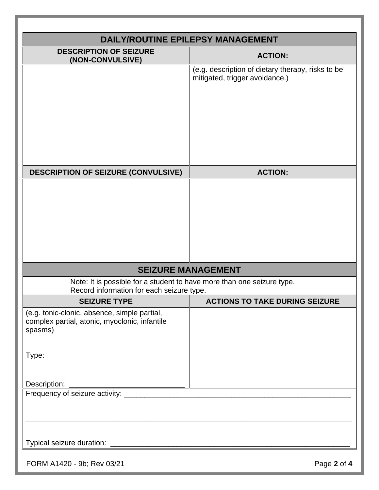| <b>DESCRIPTION OF SEIZURE</b>                                                                 | <b>DAILY/ROUTINE EPILEPSY MANAGEMENT</b>                                            |
|-----------------------------------------------------------------------------------------------|-------------------------------------------------------------------------------------|
| (NON-CONVULSIVE)                                                                              | <b>ACTION:</b>                                                                      |
|                                                                                               | (e.g. description of dietary therapy, risks to be<br>mitigated, trigger avoidance.) |
|                                                                                               |                                                                                     |
|                                                                                               |                                                                                     |
|                                                                                               |                                                                                     |
|                                                                                               |                                                                                     |
|                                                                                               |                                                                                     |
|                                                                                               |                                                                                     |
| <b>DESCRIPTION OF SEIZURE (CONVULSIVE)</b>                                                    | <b>ACTION:</b>                                                                      |
|                                                                                               |                                                                                     |
|                                                                                               |                                                                                     |
|                                                                                               |                                                                                     |
|                                                                                               |                                                                                     |
|                                                                                               |                                                                                     |
|                                                                                               |                                                                                     |
|                                                                                               |                                                                                     |
|                                                                                               | <b>SEIZURE MANAGEMENT</b>                                                           |
| Record information for each seizure type.                                                     | Note: It is possible for a student to have more than one seizure type.              |
| <b>SEIZURE TYPE</b>                                                                           | <b>ACTIONS TO TAKE DURING SEIZURE</b>                                               |
| (e.g. tonic-clonic, absence, simple partial,<br>complex partial, atonic, myoclonic, infantile |                                                                                     |
| spasms)                                                                                       |                                                                                     |
|                                                                                               |                                                                                     |
|                                                                                               |                                                                                     |
|                                                                                               |                                                                                     |
| Description:                                                                                  |                                                                                     |
|                                                                                               |                                                                                     |
|                                                                                               |                                                                                     |
|                                                                                               |                                                                                     |
|                                                                                               |                                                                                     |
|                                                                                               |                                                                                     |
|                                                                                               |                                                                                     |